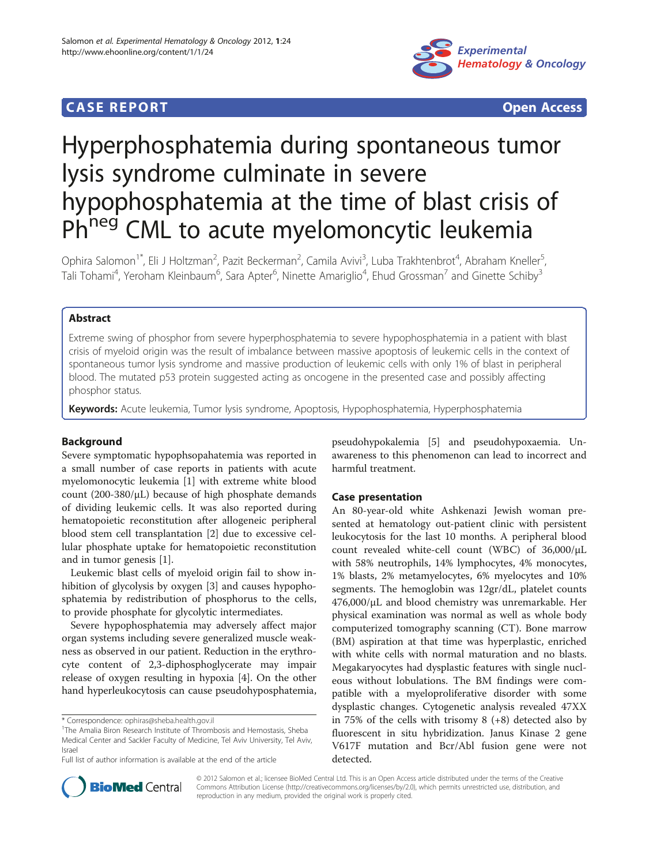# **CASE REPORT CASE REPORT CASE ACCESS**



# Hyperphosphatemia during spontaneous tumor lysis syndrome culminate in severe hypophosphatemia at the time of blast crisis of Ph<sup>neg</sup> CML to acute myelomoncytic leukemia

Ophira Salomon<sup>1\*</sup>, Eli J Holtzman<sup>2</sup>, Pazit Beckerman<sup>2</sup>, Camila Avivi<sup>3</sup>, Luba Trakhtenbrot<sup>4</sup>, Abraham Kneller<sup>5</sup> , Tali Tohami<sup>4</sup>, Yeroham Kleinbaum<sup>6</sup>, Sara Apter<sup>6</sup>, Ninette Amariglio<sup>4</sup>, Ehud Grossman<sup>7</sup> and Ginette Schiby<sup>3</sup>

# Abstract

Extreme swing of phosphor from severe hyperphosphatemia to severe hypophosphatemia in a patient with blast crisis of myeloid origin was the result of imbalance between massive apoptosis of leukemic cells in the context of spontaneous tumor lysis syndrome and massive production of leukemic cells with only 1% of blast in peripheral blood. The mutated p53 protein suggested acting as oncogene in the presented case and possibly affecting phosphor status.

Keywords: Acute leukemia, Tumor lysis syndrome, Apoptosis, Hypophosphatemia, Hyperphosphatemia

# Background

Severe symptomatic hypophsopahatemia was reported in a small number of case reports in patients with acute myelomonocytic leukemia [\[1](#page-3-0)] with extreme white blood count (200-380/μL) because of high phosphate demands of dividing leukemic cells. It was also reported during hematopoietic reconstitution after allogeneic peripheral blood stem cell transplantation [[2\]](#page-4-0) due to excessive cellular phosphate uptake for hematopoietic reconstitution and in tumor genesis [\[1](#page-3-0)].

Leukemic blast cells of myeloid origin fail to show inhibition of glycolysis by oxygen [\[3](#page-4-0)] and causes hypophosphatemia by redistribution of phosphorus to the cells, to provide phosphate for glycolytic intermediates.

Severe hypophosphatemia may adversely affect major organ systems including severe generalized muscle weakness as observed in our patient. Reduction in the erythrocyte content of 2,3-diphosphoglycerate may impair release of oxygen resulting in hypoxia [[4\]](#page-4-0). On the other hand hyperleukocytosis can cause pseudohyposphatemia,

\* Correspondence: [ophiras@sheba.health.gov.il](mailto:ophiras@sheba.health.gov.il) <sup>1</sup>

pseudohypokalemia [\[5\]](#page-4-0) and pseudohypoxaemia. Unawareness to this phenomenon can lead to incorrect and harmful treatment.

# Case presentation

An 80-year-old white Ashkenazi Jewish woman presented at hematology out-patient clinic with persistent leukocytosis for the last 10 months. A peripheral blood count revealed white-cell count (WBC) of 36,000/μL with 58% neutrophils, 14% lymphocytes, 4% monocytes, 1% blasts, 2% metamyelocytes, 6% myelocytes and 10% segments. The hemoglobin was 12gr/dL, platelet counts 476,000/μL and blood chemistry was unremarkable. Her physical examination was normal as well as whole body computerized tomography scanning (CT). Bone marrow (BM) aspiration at that time was hyperplastic, enriched with white cells with normal maturation and no blasts. Megakaryocytes had dysplastic features with single nucleous without lobulations. The BM findings were compatible with a myeloproliferative disorder with some dysplastic changes. Cytogenetic analysis revealed 47XX in 75% of the cells with trisomy  $8 (+8)$  detected also by fluorescent in situ hybridization. Janus Kinase 2 gene V617F mutation and Bcr/Abl fusion gene were not detected.



© 2012 Salomon et al.; licensee BioMed Central Ltd. This is an Open Access article distributed under the terms of the Creative Commons Attribution License [\(http://creativecommons.org/licenses/by/2.0\)](http://creativecommons.org/licenses/by/2.0), which permits unrestricted use, distribution, and reproduction in any medium, provided the original work is properly cited.

<sup>&</sup>lt;sup>1</sup>The Amalia Biron Research Institute of Thrombosis and Hemostasis, Sheba Medical Center and Sackler Faculty of Medicine, Tel Aviv University, Tel Aviv, Israel

Full list of author information is available at the end of the article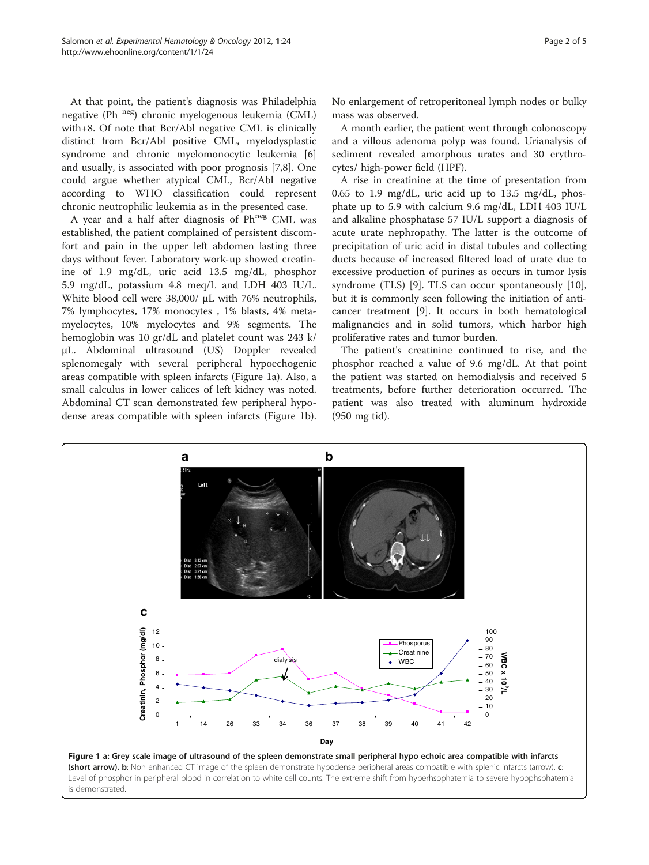<span id="page-1-0"></span>At that point, the patient's diagnosis was Philadelphia negative (Ph neg) chronic myelogenous leukemia (CML) with+8. Of note that Bcr/Abl negative CML is clinically distinct from Bcr/Abl positive CML, myelodysplastic syndrome and chronic myelomonocytic leukemia [\[6](#page-4-0)] and usually, is associated with poor prognosis [\[7](#page-4-0),[8](#page-4-0)]. One could argue whether atypical CML, Bcr/Abl negative according to WHO classification could represent chronic neutrophilic leukemia as in the presented case.

A year and a half after diagnosis of Ph<sup>neg</sup> CML was established, the patient complained of persistent discomfort and pain in the upper left abdomen lasting three days without fever. Laboratory work-up showed creatinine of 1.9 mg/dL, uric acid 13.5 mg/dL, phosphor 5.9 mg/dL, potassium 4.8 meq/L and LDH 403 IU/L. White blood cell were 38,000/ μL with 76% neutrophils, 7% lymphocytes, 17% monocytes , 1% blasts, 4% metamyelocytes, 10% myelocytes and 9% segments. The hemoglobin was 10 gr/dL and platelet count was 243 k/ μL. Abdominal ultrasound (US) Doppler revealed splenomegaly with several peripheral hypoechogenic areas compatible with spleen infarcts (Figure 1a). Also, a small calculus in lower calices of left kidney was noted. Abdominal CT scan demonstrated few peripheral hypodense areas compatible with spleen infarcts (Figure 1b). No enlargement of retroperitoneal lymph nodes or bulky mass was observed.

A month earlier, the patient went through colonoscopy and a villous adenoma polyp was found. Urianalysis of sediment revealed amorphous urates and 30 erythrocytes/ high-power field (HPF).

A rise in creatinine at the time of presentation from 0.65 to 1.9 mg/dL, uric acid up to 13.5 mg/dL, phosphate up to 5.9 with calcium 9.6 mg/dL, LDH 403 IU/L and alkaline phosphatase 57 IU/L support a diagnosis of acute urate nephropathy. The latter is the outcome of precipitation of uric acid in distal tubules and collecting ducts because of increased filtered load of urate due to excessive production of purines as occurs in tumor lysis syndrome (TLS) [\[9](#page-4-0)]. TLS can occur spontaneously [\[10](#page-4-0)], but it is commonly seen following the initiation of anticancer treatment [\[9](#page-4-0)]. It occurs in both hematological malignancies and in solid tumors, which harbor high proliferative rates and tumor burden.

The patient's creatinine continued to rise, and the phosphor reached a value of 9.6 mg/dL. At that point the patient was started on hemodialysis and received 5 treatments, before further deterioration occurred. The patient was also treated with aluminum hydroxide (950 mg tid).

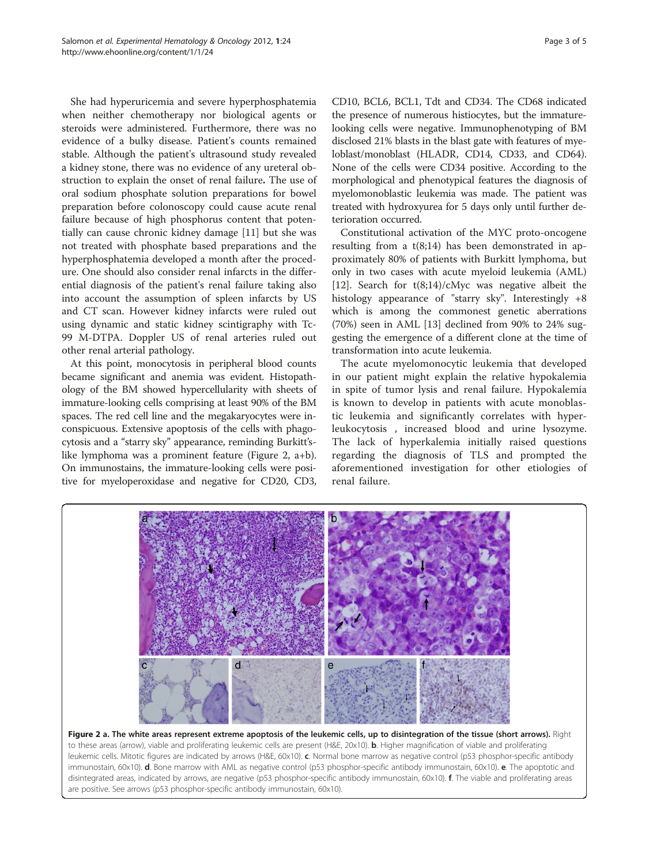<span id="page-2-0"></span>She had hyperuricemia and severe hyperphosphatemia when neither chemotherapy nor biological agents or steroids were administered. Furthermore, there was no evidence of a bulky disease. Patient's counts remained stable. Although the patient's ultrasound study revealed a kidney stone, there was no evidence of any ureteral obstruction to explain the onset of renal failure. The use of oral sodium phosphate solution preparations for bowel preparation before colonoscopy could cause acute renal failure because of high phosphorus content that potentially can cause chronic kidney damage [\[11\]](#page-4-0) but she was not treated with phosphate based preparations and the hyperphosphatemia developed a month after the procedure. One should also consider renal infarcts in the differential diagnosis of the patient's renal failure taking also into account the assumption of spleen infarcts by US and CT scan. However kidney infarcts were ruled out using dynamic and static kidney scintigraphy with Tc-99 M-DTPA. Doppler US of renal arteries ruled out other renal arterial pathology.

At this point, monocytosis in peripheral blood counts became significant and anemia was evident. Histopathology of the BM showed hypercellularity with sheets of immature-looking cells comprising at least 90% of the BM spaces. The red cell line and the megakaryocytes were inconspicuous. Extensive apoptosis of the cells with phagocytosis and a "starry sky" appearance, reminding Burkitt'slike lymphoma was a prominent feature (Figure 2, a+b). On immunostains, the immature-looking cells were positive for myeloperoxidase and negative for CD20, CD3,

CD10, BCL6, BCL1, Tdt and CD34. The CD68 indicated the presence of numerous histiocytes, but the immaturelooking cells were negative. Immunophenotyping of BM disclosed 21% blasts in the blast gate with features of myeloblast/monoblast (HLADR, CD14, CD33, and CD64). None of the cells were CD34 positive. According to the morphological and phenotypical features the diagnosis of myelomonoblastic leukemia was made. The patient was treated with hydroxyurea for 5 days only until further deterioration occurred.

Constitutional activation of the MYC proto-oncogene resulting from a t(8;14) has been demonstrated in approximately 80% of patients with Burkitt lymphoma, but only in two cases with acute myeloid leukemia (AML) [[12\]](#page-4-0). Search for  $t(8;14)/cMyc$  was negative albeit the histology appearance of "starry sky". Interestingly +8 which is among the commonest genetic aberrations (70%) seen in AML [\[13](#page-4-0)] declined from 90% to 24% suggesting the emergence of a different clone at the time of transformation into acute leukemia.

The acute myelomonocytic leukemia that developed in our patient might explain the relative hypokalemia in spite of tumor lysis and renal failure. Hypokalemia is known to develop in patients with acute monoblastic leukemia and significantly correlates with hyperleukocytosis , increased blood and urine lysozyme. The lack of hyperkalemia initially raised questions regarding the diagnosis of TLS and prompted the aforementioned investigation for other etiologies of renal failure.



Figure 2 a. The white areas represent extreme apoptosis of the leukemic cells, up to disintegration of the tissue (short arrows). Right to these areas (arrow), viable and proliferating leukemic cells are present (H&E, 20x10). **b**. Higher magnification of viable and proliferating leukemic cells. Mitotic figures are indicated by arrows (H&E, 60x10). c. Normal bone marrow as negative control (p53 phosphor-specific antibody immunostain, 60x10). d. Bone marrow with AML as negative control (p53 phosphor-specific antibody immunostain, 60x10). e. The apoptotic and disintegrated areas, indicated by arrows, are negative (p53 phosphor-specific antibody immunostain, 60x10). f. The viable and proliferating areas are positive. See arrows (p53 phosphor-specific antibody immunostain, 60x10).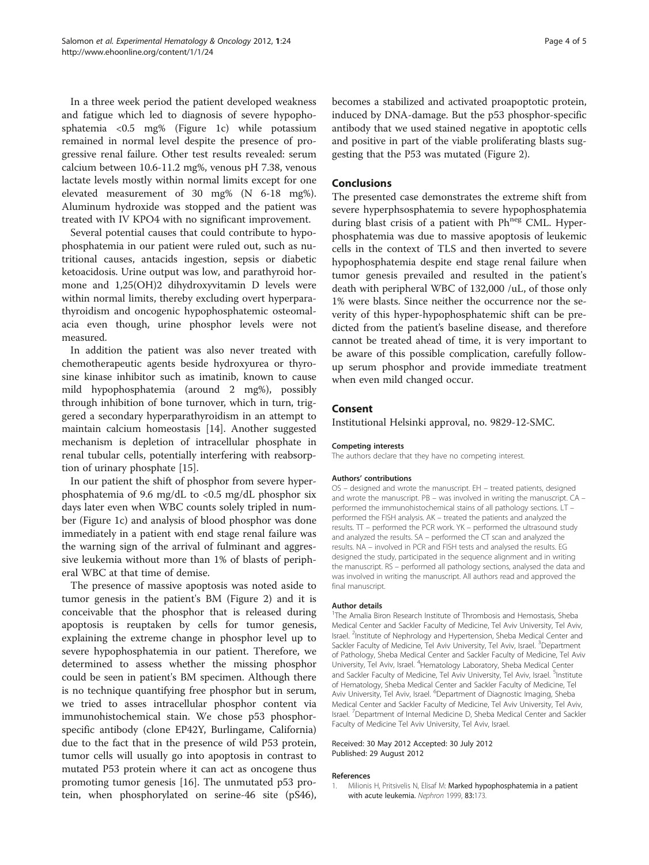<span id="page-3-0"></span>In a three week period the patient developed weakness and fatigue which led to diagnosis of severe hypophosphatemia <0.5 mg% (Figure [1c](#page-1-0)) while potassium remained in normal level despite the presence of progressive renal failure. Other test results revealed: serum calcium between 10.6-11.2 mg%, venous pH 7.38, venous lactate levels mostly within normal limits except for one elevated measurement of 30 mg% (N 6-18 mg%). Aluminum hydroxide was stopped and the patient was treated with IV KPO4 with no significant improvement.

Several potential causes that could contribute to hypophosphatemia in our patient were ruled out, such as nutritional causes, antacids ingestion, sepsis or diabetic ketoacidosis. Urine output was low, and parathyroid hormone and 1,25(OH)2 dihydroxyvitamin D levels were within normal limits, thereby excluding overt hyperparathyroidism and oncogenic hypophosphatemic osteomalacia even though, urine phosphor levels were not measured.

In addition the patient was also never treated with chemotherapeutic agents beside hydroxyurea or thyrosine kinase inhibitor such as imatinib, known to cause mild hypophosphatemia (around 2 mg%), possibly through inhibition of bone turnover, which in turn, triggered a secondary hyperparathyroidism in an attempt to maintain calcium homeostasis [\[14\]](#page-4-0). Another suggested mechanism is depletion of intracellular phosphate in renal tubular cells, potentially interfering with reabsorption of urinary phosphate [\[15](#page-4-0)].

In our patient the shift of phosphor from severe hyperphosphatemia of 9.6 mg/dL to <0.5 mg/dL phosphor six days later even when WBC counts solely tripled in number (Figure [1c](#page-1-0)) and analysis of blood phosphor was done immediately in a patient with end stage renal failure was the warning sign of the arrival of fulminant and aggressive leukemia without more than 1% of blasts of peripheral WBC at that time of demise.

The presence of massive apoptosis was noted aside to tumor genesis in the patient's BM (Figure [2\)](#page-2-0) and it is conceivable that the phosphor that is released during apoptosis is reuptaken by cells for tumor genesis, explaining the extreme change in phosphor level up to severe hypophosphatemia in our patient. Therefore, we determined to assess whether the missing phosphor could be seen in patient's BM specimen. Although there is no technique quantifying free phosphor but in serum, we tried to asses intracellular phosphor content via immunohistochemical stain. We chose p53 phosphorspecific antibody (clone EP42Y, Burlingame, California) due to the fact that in the presence of wild P53 protein, tumor cells will usually go into apoptosis in contrast to mutated P53 protein where it can act as oncogene thus promoting tumor genesis [\[16\]](#page-4-0). The unmutated p53 protein, when phosphorylated on serine-46 site (pS46),

becomes a stabilized and activated proapoptotic protein, induced by DNA-damage. But the p53 phosphor-specific antibody that we used stained negative in apoptotic cells and positive in part of the viable proliferating blasts suggesting that the P53 was mutated (Figure [2](#page-2-0)).

### Conclusions

The presented case demonstrates the extreme shift from severe hyperphsosphatemia to severe hypophosphatemia during blast crisis of a patient with Ph<sup>neg</sup> CML. Hyperphosphatemia was due to massive apoptosis of leukemic cells in the context of TLS and then inverted to severe hypophosphatemia despite end stage renal failure when tumor genesis prevailed and resulted in the patient's death with peripheral WBC of 132,000 /uL, of those only 1% were blasts. Since neither the occurrence nor the severity of this hyper-hypophosphatemic shift can be predicted from the patient's baseline disease, and therefore cannot be treated ahead of time, it is very important to be aware of this possible complication, carefully followup serum phosphor and provide immediate treatment when even mild changed occur.

# Consent

Institutional Helsinki approval, no. 9829-12-SMC.

#### Competing interests

The authors declare that they have no competing interest.

#### Authors' contributions

OS – designed and wrote the manuscript. EH – treated patients, designed and wrote the manuscript. PB – was involved in writing the manuscript. CA – performed the immunohistochemical stains of all pathology sections. LT – performed the FISH analysis. AK – treated the patients and analyzed the results. TT – performed the PCR work. YK – performed the ultrasound study and analyzed the results. SA – performed the CT scan and analyzed the results. NA – involved in PCR and FISH tests and analysed the results. EG designed the study, participated in the sequence alignment and in writing the manuscript. RS – performed all pathology sections, analysed the data and was involved in writing the manuscript. All authors read and approved the final manuscript.

#### Author details

<sup>1</sup>The Amalia Biron Research Institute of Thrombosis and Hemostasis, Sheba Medical Center and Sackler Faculty of Medicine, Tel Aviv University, Tel Aviv, Israel. <sup>2</sup>Institute of Nephrology and Hypertension, Sheba Medical Center and Sackler Faculty of Medicine, Tel Aviv University, Tel Aviv, Israel. <sup>3</sup>Department of Pathology, Sheba Medical Center and Sackler Faculty of Medicine, Tel Aviv University, Tel Aviv, Israel. <sup>4</sup> Hematology Laboratory, Sheba Medical Center and Sackler Faculty of Medicine, Tel Aviv University, Tel Aviv, Israel. <sup>5</sup>Institute of Hematology, Sheba Medical Center and Sackler Faculty of Medicine, Tel Aviv University, Tel Aviv, Israel. <sup>6</sup>Department of Diagnostic Imaging, Sheba Medical Center and Sackler Faculty of Medicine, Tel Aviv University, Tel Aviv, Israel. <sup>7</sup>Department of Internal Medicine D, Sheba Medical Center and Sackler Faculty of Medicine Tel Aviv University, Tel Aviv, Israel.

#### Received: 30 May 2012 Accepted: 30 July 2012 Published: 29 August 2012

#### References

1. Milionis H, Pritsivelis N, Elisaf M: Marked hypophosphatemia in a patient with acute leukemia. Nephron 1999, 83:173.